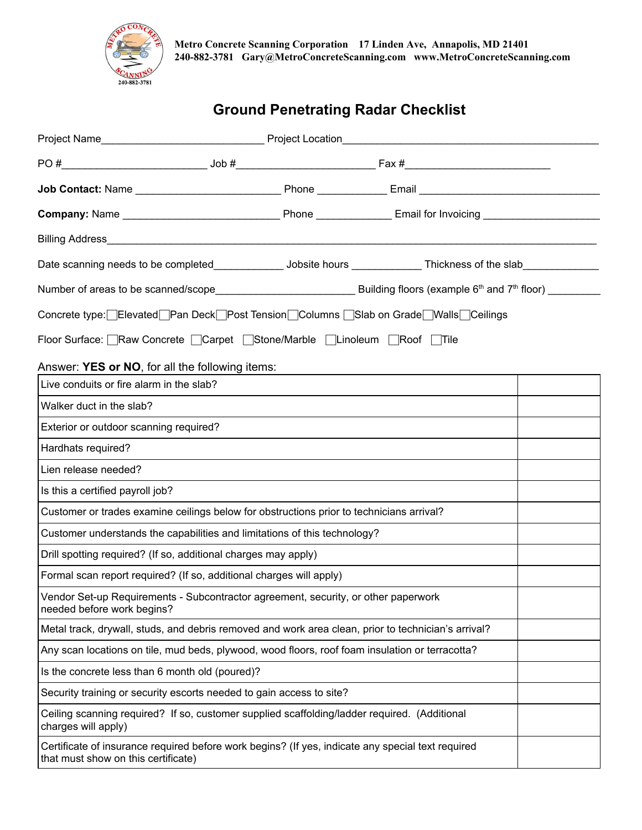

# **Ground Penetrating Radar Checklist**

| Concrete type: Elevated Pan Deck Post Tension Columns Slab on Grade Walls Ceilings                                                       |  |  |  |  |  |
|------------------------------------------------------------------------------------------------------------------------------------------|--|--|--|--|--|
| Floor Surface: Raw Concrete Carpet Stone/Marble Linoleum Roof Tile                                                                       |  |  |  |  |  |
| Answer: YES or NO, for all the following items:                                                                                          |  |  |  |  |  |
| Live conduits or fire alarm in the slab?                                                                                                 |  |  |  |  |  |
| Walker duct in the slab?                                                                                                                 |  |  |  |  |  |
| Exterior or outdoor scanning required?                                                                                                   |  |  |  |  |  |
| Hardhats required?                                                                                                                       |  |  |  |  |  |
| Lien release needed?                                                                                                                     |  |  |  |  |  |
| Is this a certified payroll job?                                                                                                         |  |  |  |  |  |
| Customer or trades examine ceilings below for obstructions prior to technicians arrival?                                                 |  |  |  |  |  |
| Customer understands the capabilities and limitations of this technology?                                                                |  |  |  |  |  |
| Drill spotting required? (If so, additional charges may apply)                                                                           |  |  |  |  |  |
| Formal scan report required? (If so, additional charges will apply)                                                                      |  |  |  |  |  |
| Vendor Set-up Requirements - Subcontractor agreement, security, or other paperwork<br>needed before work begins?                         |  |  |  |  |  |
| Metal track, drywall, studs, and debris removed and work area clean, prior to technician's arrival?                                      |  |  |  |  |  |
| Any scan locations on tile, mud beds, plywood, wood floors, roof foam insulation or terracotta?                                          |  |  |  |  |  |
| Is the concrete less than 6 month old (poured)?                                                                                          |  |  |  |  |  |
| Security training or security escorts needed to gain access to site?                                                                     |  |  |  |  |  |
| Ceiling scanning required? If so, customer supplied scaffolding/ladder required. (Additional<br>charges will apply)                      |  |  |  |  |  |
| Certificate of insurance required before work begins? (If yes, indicate any special text required<br>that must show on this certificate) |  |  |  |  |  |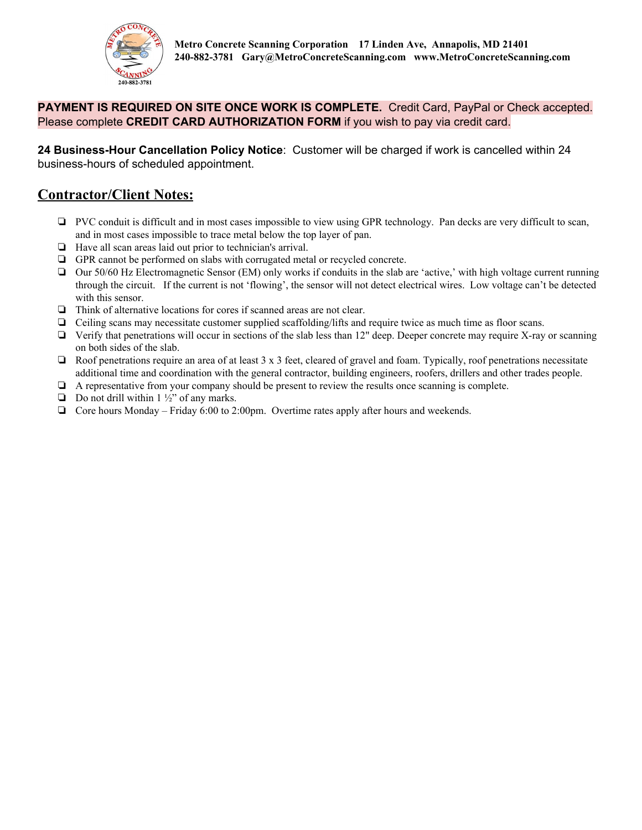

### **PAYMENT IS REQUIRED ON SITE ONCE WORK IS COMPLETE.** Credit Card, PayPal or Check accepted. Please complete **CREDIT CARD AUTHORIZATION FORM** if you wish to pay via credit card.

**24 Business-Hour Cancellation Policy Notice**: Customer will be charged if work is cancelled within 24 business-hours of scheduled appointment.

### **Contractor/Client Notes:**

- ❏ PVC conduit is difficult and in most cases impossible to view using GPR technology. Pan decks are very difficult to scan, and in most cases impossible to trace metal below the top layer of pan.
- ❏ Have all scan areas laid out prior to technician's arrival.
- ❏ GPR cannot be performed on slabs with corrugated metal or recycled concrete.
- ❏ Our 50/60 Hz Electromagnetic Sensor (EM) only works if conduits in the slab are 'active,' with high voltage current running through the circuit. If the current is not 'flowing', the sensor will not detect electrical wires. Low voltage can't be detected with this sensor.
- ❏ Think of alternative locations for cores if scanned areas are not clear.
- ❏ Ceiling scans may necessitate customer supplied scaffolding/lifts and require twice as much time as floor scans.
- ❏ Verify that penetrations will occur in sections of the slab less than 12" deep. Deeper concrete may require X-ray or scanning on both sides of the slab.
- ❏ Roof penetrations require an area of at least 3 x 3 feet, cleared of gravel and foam. Typically, roof penetrations necessitate additional time and coordination with the general contractor, building engineers, roofers, drillers and other trades people.
- ❏ A representative from your company should be present to review the results once scanning is complete.
- $\Box$  Do not drill within 1 ½" of any marks.
- ❏ Core hours Monday Friday 6:00 to 2:00pm. Overtime rates apply after hours and weekends.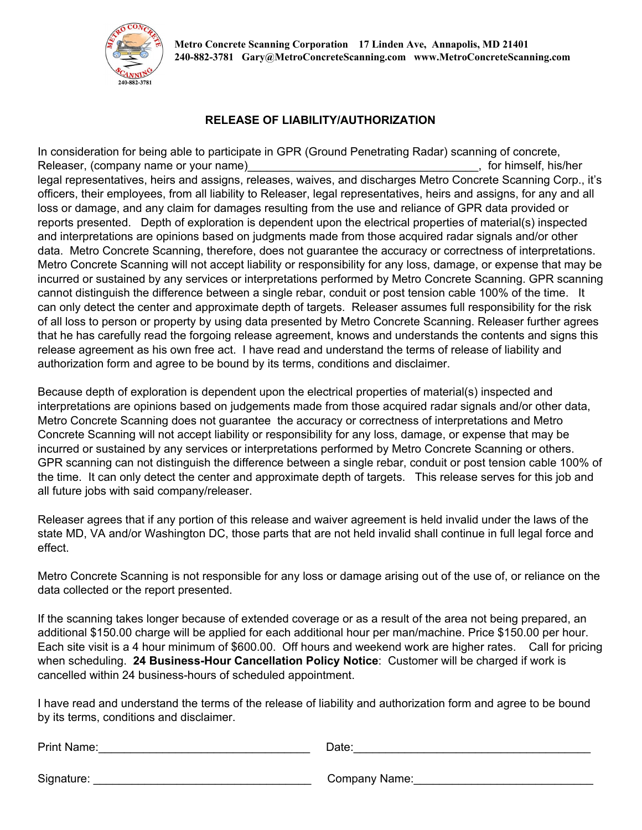

#### **RELEASE OF LIABILITY/AUTHORIZATION**

In consideration for being able to participate in GPR (Ground Penetrating Radar) scanning of concrete, Releaser, (company name or your name) example and the set of the set of the set of himself, his/her legal representatives, heirs and assigns, releases, waives, and discharges Metro Concrete Scanning Corp., it's officers, their employees, from all liability to Releaser, legal representatives, heirs and assigns, for any and all loss or damage, and any claim for damages resulting from the use and reliance of GPR data provided or reports presented. Depth of exploration is dependent upon the electrical properties of material(s) inspected and interpretations are opinions based on judgments made from those acquired radar signals and/or other data. Metro Concrete Scanning, therefore, does not guarantee the accuracy or correctness of interpretations. Metro Concrete Scanning will not accept liability or responsibility for any loss, damage, or expense that may be incurred or sustained by any services or interpretations performed by Metro Concrete Scanning. GPR scanning cannot distinguish the difference between a single rebar, conduit or post tension cable 100% of the time. It can only detect the center and approximate depth of targets. Releaser assumes full responsibility for the risk of all loss to person or property by using data presented by Metro Concrete Scanning. Releaser further agrees that he has carefully read the forgoing release agreement, knows and understands the contents and signs this release agreement as his own free act. I have read and understand the terms of release of liability and authorization form and agree to be bound by its terms, conditions and disclaimer.

Because depth of exploration is dependent upon the electrical properties of material(s) inspected and interpretations are opinions based on judgements made from those acquired radar signals and/or other data, Metro Concrete Scanning does not guarantee the accuracy or correctness of interpretations and Metro Concrete Scanning will not accept liability or responsibility for any loss, damage, or expense that may be incurred or sustained by any services or interpretations performed by Metro Concrete Scanning or others. GPR scanning can not distinguish the difference between a single rebar, conduit or post tension cable 100% of the time. It can only detect the center and approximate depth of targets. This release serves for this job and all future jobs with said company/releaser.

Releaser agrees that if any portion of this release and waiver agreement is held invalid under the laws of the state MD, VA and/or Washington DC, those parts that are not held invalid shall continue in full legal force and effect.

Metro Concrete Scanning is not responsible for any loss or damage arising out of the use of, or reliance on the data collected or the report presented.

If the scanning takes longer because of extended coverage or as a result of the area not being prepared, an additional \$150.00 charge will be applied for each additional hour per man/machine. Price \$150.00 per hour. Each site visit is a 4 hour minimum of \$600.00. Off hours and weekend work are higher rates. Call for pricing when scheduling. **24 Business-Hour Cancellation Policy Notice**: Customer will be charged if work is cancelled within 24 business-hours of scheduled appointment.

I have read and understand the terms of the release of liability and authorization form and agree to be bound by its terms, conditions and disclaimer.

| Print Name: | Date:         |  |  |
|-------------|---------------|--|--|
| Signature:  | Company Name: |  |  |